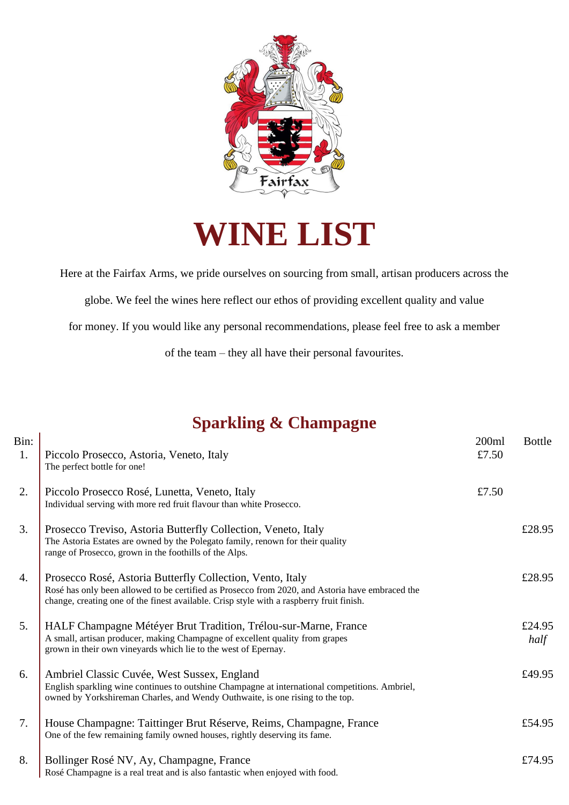

**WINE LIST**

Here at the Fairfax Arms, we pride ourselves on sourcing from small, artisan producers across the

globe. We feel the wines here reflect our ethos of providing excellent quality and value

for money. If you would like any personal recommendations, please feel free to ask a member

of the team – they all have their personal favourites.

## **Sparkling & Champagne**

| Bin:<br>1. | Piccolo Prosecco, Astoria, Veneto, Italy<br>The perfect bottle for one!                                                                                                                                                                                  | 200ml<br>£7.50 | <b>Bottle</b>  |
|------------|----------------------------------------------------------------------------------------------------------------------------------------------------------------------------------------------------------------------------------------------------------|----------------|----------------|
| 2.         | Piccolo Prosecco Rosé, Lunetta, Veneto, Italy<br>Individual serving with more red fruit flavour than white Prosecco.                                                                                                                                     | £7.50          |                |
| 3.         | Prosecco Treviso, Astoria Butterfly Collection, Veneto, Italy<br>The Astoria Estates are owned by the Polegato family, renown for their quality<br>range of Prosecco, grown in the foothills of the Alps.                                                |                | £28.95         |
| 4.         | Prosecco Rosé, Astoria Butterfly Collection, Vento, Italy<br>Rosé has only been allowed to be certified as Prosecco from 2020, and Astoria have embraced the<br>change, creating one of the finest available. Crisp style with a raspberry fruit finish. |                | £28.95         |
| 5.         | HALF Champagne Météyer Brut Tradition, Trélou-sur-Marne, France<br>A small, artisan producer, making Champagne of excellent quality from grapes<br>grown in their own vineyards which lie to the west of Epernay.                                        |                | £24.95<br>half |
| 6.         | Ambriel Classic Cuvée, West Sussex, England<br>English sparkling wine continues to outshine Champagne at international competitions. Ambriel,<br>owned by Yorkshireman Charles, and Wendy Outhwaite, is one rising to the top.                           |                | £49.95         |
| 7.         | House Champagne: Taittinger Brut Réserve, Reims, Champagne, France<br>One of the few remaining family owned houses, rightly deserving its fame.                                                                                                          |                | £54.95         |
| 8.         | Bollinger Rosé NV, Ay, Champagne, France<br>Rosé Champagne is a real treat and is also fantastic when enjoyed with food.                                                                                                                                 |                | £74.95         |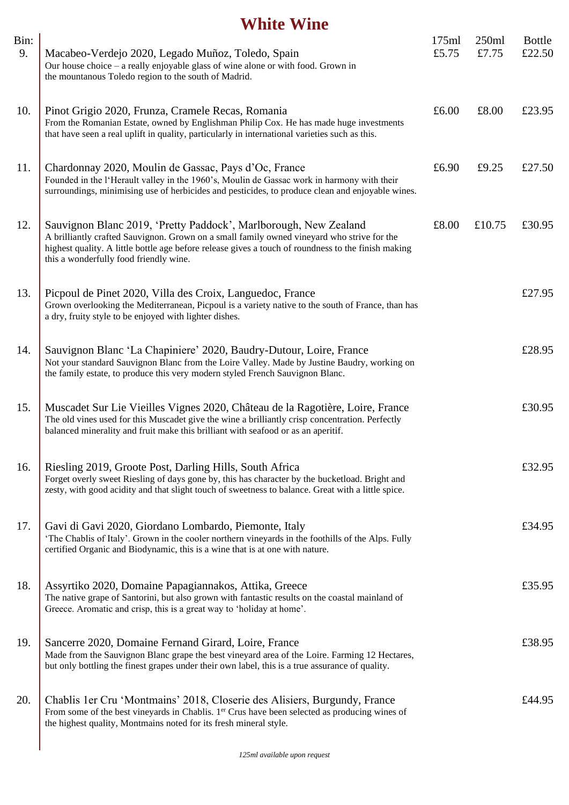#### **White Wine**

| Bin:<br>9. | Macabeo-Verdejo 2020, Legado Muñoz, Toledo, Spain<br>Our house choice – a really enjoyable glass of wine alone or with food. Grown in<br>the mountanous Toledo region to the south of Madrid.                                                                                                                   | 175ml<br>£5.75 | 250ml<br>£7.75 | <b>Bottle</b><br>£22.50 |
|------------|-----------------------------------------------------------------------------------------------------------------------------------------------------------------------------------------------------------------------------------------------------------------------------------------------------------------|----------------|----------------|-------------------------|
| 10.        | Pinot Grigio 2020, Frunza, Cramele Recas, Romania<br>From the Romanian Estate, owned by Englishman Philip Cox. He has made huge investments<br>that have seen a real uplift in quality, particularly in international varieties such as this.                                                                   | £6.00          | £8.00          | £23.95                  |
| 11.        | Chardonnay 2020, Moulin de Gassac, Pays d'Oc, France<br>Founded in the l'Herault valley in the 1960's, Moulin de Gassac work in harmony with their<br>surroundings, minimising use of herbicides and pesticides, to produce clean and enjoyable wines.                                                          | £6.90          | £9.25          | £27.50                  |
| 12.        | Sauvignon Blanc 2019, 'Pretty Paddock', Marlborough, New Zealand<br>A brilliantly crafted Sauvignon. Grown on a small family owned vineyard who strive for the<br>highest quality. A little bottle age before release gives a touch of roundness to the finish making<br>this a wonderfully food friendly wine. | £8.00          | £10.75         | £30.95                  |
| 13.        | Picpoul de Pinet 2020, Villa des Croix, Languedoc, France<br>Grown overlooking the Mediterranean, Picpoul is a variety native to the south of France, than has<br>a dry, fruity style to be enjoyed with lighter dishes.                                                                                        |                |                | £27.95                  |
| 14.        | Sauvignon Blanc 'La Chapiniere' 2020, Baudry-Dutour, Loire, France<br>Not your standard Sauvignon Blanc from the Loire Valley. Made by Justine Baudry, working on<br>the family estate, to produce this very modern styled French Sauvignon Blanc.                                                              |                |                | £28.95                  |
| 15.        | Muscadet Sur Lie Vieilles Vignes 2020, Château de la Ragotière, Loire, France<br>The old vines used for this Muscadet give the wine a brilliantly crisp concentration. Perfectly<br>balanced minerality and fruit make this brilliant with seafood or as an aperitif.                                           |                |                | £30.95                  |
| 16.        | Riesling 2019, Groote Post, Darling Hills, South Africa<br>Forget overly sweet Riesling of days gone by, this has character by the bucketload. Bright and<br>zesty, with good acidity and that slight touch of sweetness to balance. Great with a little spice.                                                 |                |                | £32.95                  |
| 17.        | Gavi di Gavi 2020, Giordano Lombardo, Piemonte, Italy<br>'The Chablis of Italy'. Grown in the cooler northern vineyards in the foothills of the Alps. Fully<br>certified Organic and Biodynamic, this is a wine that is at one with nature.                                                                     |                |                | £34.95                  |
| 18.        | Assyrtiko 2020, Domaine Papagiannakos, Attika, Greece<br>The native grape of Santorini, but also grown with fantastic results on the coastal mainland of<br>Greece. Aromatic and crisp, this is a great way to 'holiday at home'.                                                                               |                |                | £35.95                  |
| 19.        | Sancerre 2020, Domaine Fernand Girard, Loire, France<br>Made from the Sauvignon Blanc grape the best vineyard area of the Loire. Farming 12 Hectares,<br>but only bottling the finest grapes under their own label, this is a true assurance of quality.                                                        |                |                | £38.95                  |
| 20.        | Chablis 1 er Cru 'Montmains' 2018, Closerie des Alisiers, Burgundy, France<br>From some of the best vineyards in Chablis. 1 <sup>er</sup> Crus have been selected as producing wines of<br>the highest quality, Montmains noted for its fresh mineral style.                                                    |                |                | £44.95                  |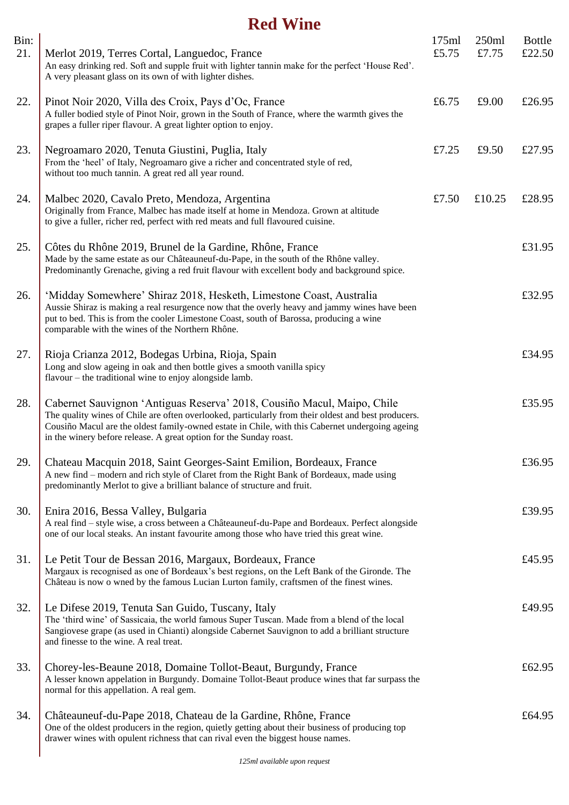## **Red Wine**

| Bin:<br>21. | Merlot 2019, Terres Cortal, Languedoc, France<br>An easy drinking red. Soft and supple fruit with lighter tannin make for the perfect 'House Red'.<br>A very pleasant glass on its own of with lighter dishes.                                                                                                                                          | 175ml<br>£5.75 | 250ml<br>£7.75 | <b>Bottle</b><br>£22.50 |
|-------------|---------------------------------------------------------------------------------------------------------------------------------------------------------------------------------------------------------------------------------------------------------------------------------------------------------------------------------------------------------|----------------|----------------|-------------------------|
| 22.         | Pinot Noir 2020, Villa des Croix, Pays d'Oc, France<br>A fuller bodied style of Pinot Noir, grown in the South of France, where the warmth gives the<br>grapes a fuller riper flavour. A great lighter option to enjoy.                                                                                                                                 | £6.75          | £9.00          | £26.95                  |
| 23.         | Negroamaro 2020, Tenuta Giustini, Puglia, Italy<br>From the 'heel' of Italy, Negroamaro give a richer and concentrated style of red,<br>without too much tannin. A great red all year round.                                                                                                                                                            | £7.25          | £9.50          | £27.95                  |
| 24.         | Malbec 2020, Cavalo Preto, Mendoza, Argentina<br>Originally from France, Malbec has made itself at home in Mendoza. Grown at altitude<br>to give a fuller, richer red, perfect with red meats and full flavoured cuisine.                                                                                                                               | £7.50          | £10.25         | £28.95                  |
| 25.         | Côtes du Rhône 2019, Brunel de la Gardine, Rhône, France<br>Made by the same estate as our Châteauneuf-du-Pape, in the south of the Rhône valley.<br>Predominantly Grenache, giving a red fruit flavour with excellent body and background spice.                                                                                                       |                |                | £31.95                  |
| 26.         | 'Midday Somewhere' Shiraz 2018, Hesketh, Limestone Coast, Australia<br>Aussie Shiraz is making a real resurgence now that the overly heavy and jammy wines have been<br>put to bed. This is from the cooler Limestone Coast, south of Barossa, producing a wine<br>comparable with the wines of the Northern Rhône.                                     |                |                | £32.95                  |
| 27.         | Rioja Crianza 2012, Bodegas Urbina, Rioja, Spain<br>Long and slow ageing in oak and then bottle gives a smooth vanilla spicy<br>flavour – the traditional wine to enjoy alongside lamb.                                                                                                                                                                 |                |                | £34.95                  |
| 28.         | Cabernet Sauvignon 'Antiguas Reserva' 2018, Cousiño Macul, Maipo, Chile<br>The quality wines of Chile are often overlooked, particularly from their oldest and best producers.<br>Cousiño Macul are the oldest family-owned estate in Chile, with this Cabernet undergoing ageing<br>in the winery before release. A great option for the Sunday roast. |                |                | £35.95                  |
| 29.         | Chateau Macquin 2018, Saint Georges-Saint Emilion, Bordeaux, France<br>A new find – modern and rich style of Claret from the Right Bank of Bordeaux, made using<br>predominantly Merlot to give a brilliant balance of structure and fruit.                                                                                                             |                |                | £36.95                  |
| 30.         | Enira 2016, Bessa Valley, Bulgaria<br>A real find – style wise, a cross between a Châteauneuf-du-Pape and Bordeaux. Perfect alongside<br>one of our local steaks. An instant favourite among those who have tried this great wine.                                                                                                                      |                |                | £39.95                  |
| 31.         | Le Petit Tour de Bessan 2016, Margaux, Bordeaux, France<br>Margaux is recognised as one of Bordeaux's best regions, on the Left Bank of the Gironde. The<br>Château is now o wned by the famous Lucian Lurton family, craftsmen of the finest wines.                                                                                                    |                |                | £45.95                  |
| 32.         | Le Difese 2019, Tenuta San Guido, Tuscany, Italy<br>The 'third wine' of Sassicaia, the world famous Super Tuscan. Made from a blend of the local<br>Sangiovese grape (as used in Chianti) alongside Cabernet Sauvignon to add a brilliant structure<br>and finesse to the wine. A real treat.                                                           |                |                | £49.95                  |
| 33.         | Chorey-les-Beaune 2018, Domaine Tollot-Beaut, Burgundy, France<br>A lesser known appelation in Burgundy. Domaine Tollot-Beaut produce wines that far surpass the<br>normal for this appellation. A real gem.                                                                                                                                            |                |                | £62.95                  |
| 34.         | Châteauneuf-du-Pape 2018, Chateau de la Gardine, Rhône, France<br>One of the oldest producers in the region, quietly getting about their business of producing top<br>drawer wines with opulent richness that can rival even the biggest house names.                                                                                                   |                |                | £64.95                  |
|             |                                                                                                                                                                                                                                                                                                                                                         |                |                |                         |